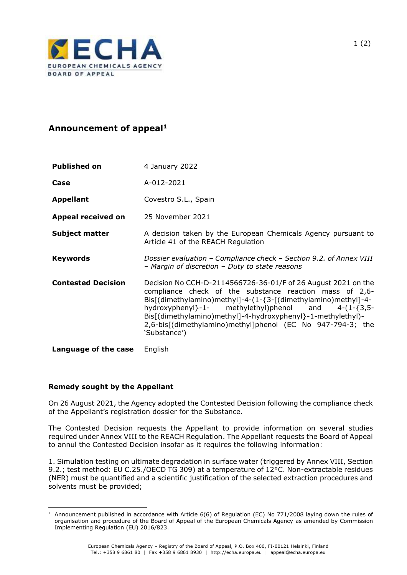

## **Announcement of appeal<sup>1</sup>**

| <b>Published on</b>       | 4 January 2022                                                                                                                                                                                                                                                                                                                                                                                |
|---------------------------|-----------------------------------------------------------------------------------------------------------------------------------------------------------------------------------------------------------------------------------------------------------------------------------------------------------------------------------------------------------------------------------------------|
| Case                      | A-012-2021                                                                                                                                                                                                                                                                                                                                                                                    |
| <b>Appellant</b>          | Covestro S.L., Spain                                                                                                                                                                                                                                                                                                                                                                          |
| Appeal received on        | 25 November 2021                                                                                                                                                                                                                                                                                                                                                                              |
| <b>Subject matter</b>     | A decision taken by the European Chemicals Agency pursuant to<br>Article 41 of the REACH Regulation                                                                                                                                                                                                                                                                                           |
| <b>Keywords</b>           | Dossier evaluation - Compliance check - Section 9.2. of Annex VIII<br>- Margin of discretion - Duty to state reasons                                                                                                                                                                                                                                                                          |
| <b>Contested Decision</b> | Decision No CCH-D-2114566726-36-01/F of 26 August 2021 on the<br>compliance check of the substance reaction mass of 2,6-<br>Bis[(dimethylamino)methyl]-4-(1-{3-[(dimethylamino)methyl]-4-<br>hydroxyphenyl}-1- methylethyl)phenol and 4-(1-{3,5-<br>Bis[(dimethylamino)methyl]-4-hydroxyphenyl}-1-methylethyl)-<br>2,6-bis[(dimethylamino)methyl]phenol (EC No 947-794-3; the<br>'Substance') |
| Language of the case      | English                                                                                                                                                                                                                                                                                                                                                                                       |

## **Remedy sought by the Appellant**

On 26 August 2021, the Agency adopted the Contested Decision following the compliance check of the Appellant's registration dossier for the Substance.

The Contested Decision requests the Appellant to provide information on several studies required under Annex VIII to the REACH Regulation. The Appellant requests the Board of Appeal to annul the Contested Decision insofar as it requires the following information:

1. Simulation testing on ultimate degradation in surface water (triggered by Annex VIII, Section 9.2.; test method: EU C.25./OECD TG 309) at a temperature of 12°C. Non-extractable residues (NER) must be quantified and a scientific justification of the selected extraction procedures and solvents must be provided;

<sup>1</sup> Announcement published in accordance with Article 6(6) of Regulation (EC) No 771/2008 laying down the rules of organisation and procedure of the Board of Appeal of the European Chemicals Agency as amended by Commission Implementing Regulation (EU) 2016/823.